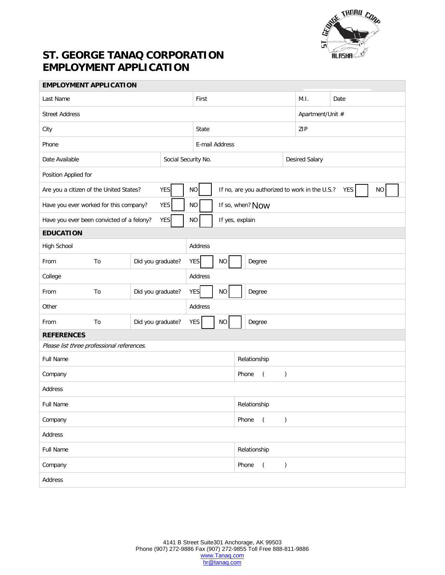

## **ST. GEORGE TANAQ CORPORATION EMPLOYMENT APPLICATION**

| <b>EMPLOYMENT APPLICATION</b>                           |                   |                   |                                  |                                                                                |                                                   |                                          |                |                  |      |  |  |
|---------------------------------------------------------|-------------------|-------------------|----------------------------------|--------------------------------------------------------------------------------|---------------------------------------------------|------------------------------------------|----------------|------------------|------|--|--|
| Last Name                                               |                   |                   | First                            |                                                                                |                                                   |                                          |                | M.I.             | Date |  |  |
| <b>Street Address</b>                                   |                   |                   |                                  |                                                                                |                                                   |                                          |                | Apartment/Unit # |      |  |  |
| City                                                    |                   |                   |                                  | State                                                                          |                                                   |                                          |                | ZIP              |      |  |  |
| Phone                                                   |                   |                   |                                  | E-mail Address                                                                 |                                                   |                                          |                |                  |      |  |  |
| Date Available                                          |                   |                   | Social Security No.              |                                                                                |                                                   |                                          | Desired Salary |                  |      |  |  |
| Position Applied for                                    |                   |                   |                                  |                                                                                |                                                   |                                          |                |                  |      |  |  |
| <b>YES</b><br>Are you a citizen of the United States?   |                   |                   |                                  | $\rm NO$<br>YES<br><b>NO</b><br>If no, are you authorized to work in the U.S.? |                                                   |                                          |                |                  |      |  |  |
| YES<br>Have you ever worked for this company?           |                   |                   | $NO$                             | If so, when? Now                                                               |                                                   |                                          |                |                  |      |  |  |
| <b>YES</b><br>Have you ever been convicted of a felony? |                   |                   |                                  | <b>NO</b><br>If yes, explain                                                   |                                                   |                                          |                |                  |      |  |  |
| <b>EDUCATION</b>                                        |                   |                   |                                  |                                                                                |                                                   |                                          |                |                  |      |  |  |
| High School                                             |                   |                   | Address                          |                                                                                |                                                   |                                          |                |                  |      |  |  |
| From<br>To                                              |                   | Did you graduate? | <b>YES</b><br>$\rm NO$<br>Degree |                                                                                |                                                   |                                          |                |                  |      |  |  |
| College                                                 |                   |                   | Address                          |                                                                                |                                                   |                                          |                |                  |      |  |  |
| To<br>From                                              | Did you graduate? |                   |                                  | YES<br>NO<br>Degree                                                            |                                                   |                                          |                |                  |      |  |  |
| Other                                                   |                   |                   | Address                          |                                                                                |                                                   |                                          |                |                  |      |  |  |
| To<br>From                                              |                   | Did you graduate? | YES.                             | $\rm NO$<br>Degree                                                             |                                                   |                                          |                |                  |      |  |  |
| <b>REFERENCES</b>                                       |                   |                   |                                  |                                                                                |                                                   |                                          |                |                  |      |  |  |
| Please list three professional references.              |                   |                   |                                  |                                                                                |                                                   |                                          |                |                  |      |  |  |
| Full Name                                               |                   |                   |                                  |                                                                                |                                                   | Relationship                             |                |                  |      |  |  |
| Company                                                 |                   |                   |                                  |                                                                                | Phone<br>$\overline{a}$<br>$\mathcal{C}^{\prime}$ |                                          |                |                  |      |  |  |
| Address                                                 |                   |                   |                                  |                                                                                |                                                   |                                          |                |                  |      |  |  |
| Full Name                                               |                   |                   |                                  |                                                                                |                                                   | Relationship                             |                |                  |      |  |  |
| Company                                                 |                   |                   |                                  |                                                                                |                                                   | Phone<br>$\overline{a}$<br>$\mathcal{C}$ |                |                  |      |  |  |
| Address                                                 |                   |                   |                                  |                                                                                |                                                   |                                          |                |                  |      |  |  |
| Full Name                                               |                   |                   |                                  |                                                                                |                                                   | Relationship                             |                |                  |      |  |  |
| Company                                                 |                   |                   |                                  |                                                                                |                                                   | Phone<br>$\big)$<br>$\overline{(\ }$     |                |                  |      |  |  |
| Address                                                 |                   |                   |                                  |                                                                                |                                                   |                                          |                |                  |      |  |  |